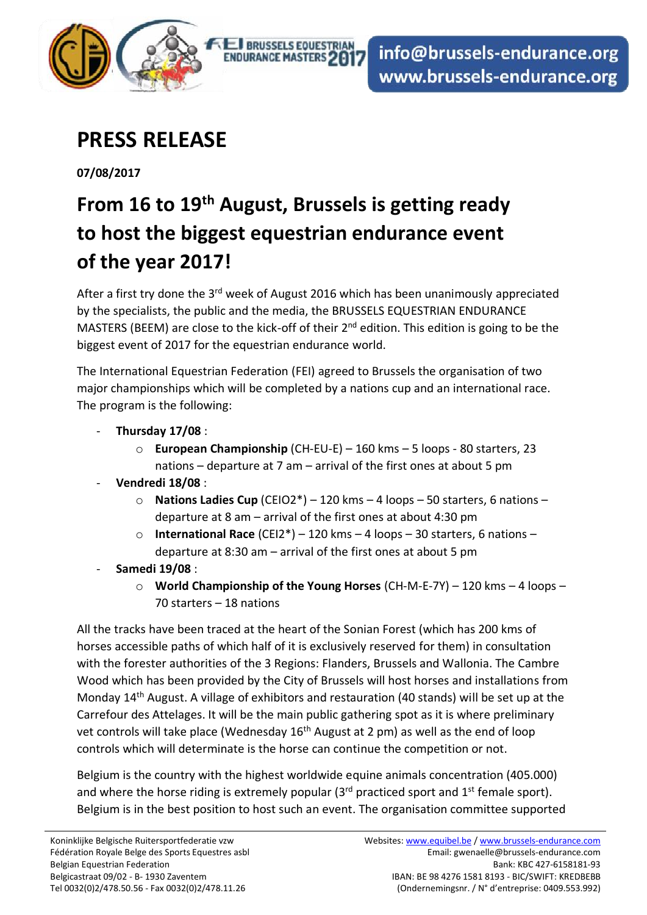

## **PRESS RELEASE**

**07/08/2017** 

## **From 16 to 19th August, Brussels is getting ready to host the biggest equestrian endurance event of the year 2017!**

**ED BRUSSELS EQUESTRIAL** 

**ENDURANCE MASTERS 2017** 

After a first try done the  $3<sup>rd</sup>$  week of August 2016 which has been unanimously appreciated by the specialists, the public and the media, the BRUSSELS EQUESTRIAN ENDURANCE MASTERS (BEEM) are close to the kick-off of their 2<sup>nd</sup> edition. This edition is going to be the biggest event of 2017 for the equestrian endurance world.

The International Equestrian Federation (FEI) agreed to Brussels the organisation of two major championships which will be completed by a nations cup and an international race. The program is the following:

- **Thursday 17/08** :
	- o **European Championship** (CH-EU-E) 160 kms 5 loops 80 starters, 23 nations – departure at 7 am – arrival of the first ones at about 5 pm
- **Vendredi 18/08** :
	- o **Nations Ladies Cup** (CEIO2\*) 120 kms 4 loops 50 starters, 6 nations departure at 8 am – arrival of the first ones at about 4:30 pm
	- o **International Race** (CEI2\*) 120 kms 4 loops 30 starters, 6 nations departure at 8:30 am – arrival of the first ones at about 5 pm
- **Samedi 19/08** :
	- o **World Championship of the Young Horses** (CH-M-E-7Y) 120 kms 4 loops 70 starters – 18 nations

All the tracks have been traced at the heart of the Sonian Forest (which has 200 kms of horses accessible paths of which half of it is exclusively reserved for them) in consultation with the forester authorities of the 3 Regions: Flanders, Brussels and Wallonia. The Cambre Wood which has been provided by the City of Brussels will host horses and installations from Monday 14th August. A village of exhibitors and restauration (40 stands) will be set up at the Carrefour des Attelages. It will be the main public gathering spot as it is where preliminary vet controls will take place (Wednesday  $16<sup>th</sup>$  August at 2 pm) as well as the end of loop controls which will determinate is the horse can continue the competition or not.

Belgium is the country with the highest worldwide equine animals concentration (405.000) and where the horse riding is extremely popular  $(3<sup>rd</sup>$  practiced sport and  $1<sup>st</sup>$  female sport). Belgium is in the best position to host such an event. The organisation committee supported